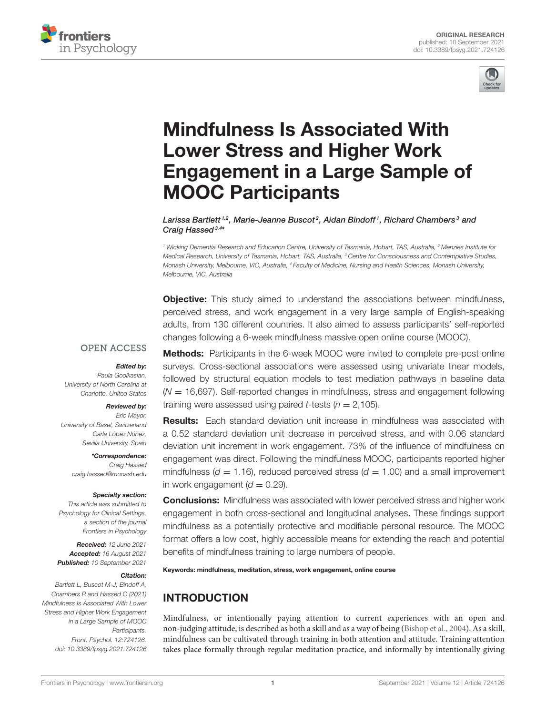



# Mindfulness Is Associated With Lower Stress and Higher Work [Engagement in a Large Sample of](https://www.frontiersin.org/articles/10.3389/fpsyg.2021.724126/full) MOOC Participants

Larissa Bartlett <sup>1,2</sup>, Marie-Jeanne Buscot <sup>2</sup>, Aidan Bindoff <sup>1</sup>, Richard Chambers <sup>3</sup> and Craig Hassed<sup>3,4\*</sup>

<sup>1</sup> Wicking Dementia Research and Education Centre, University of Tasmania, Hobart, TAS, Australia, <sup>2</sup> Menzies Institute for Medical Research, University of Tasmania, Hobart, TAS, Australia, <sup>3</sup> Centre for Consciousness and Contemplative Studies, Monash University, Melbourne, VIC, Australia, <sup>4</sup> Faculty of Medicine, Nursing and Health Sciences, Monash University, Melbourne, VIC, Australia

**Objective:** This study aimed to understand the associations between mindfulness, perceived stress, and work engagement in a very large sample of English-speaking adults, from 130 different countries. It also aimed to assess participants' self-reported changes following a 6-week mindfulness massive open online course (MOOC).

### **OPEN ACCESS**

#### Edited by:

Paula Goolkasian, University of North Carolina at Charlotte, United States

#### Reviewed by:

Eric Mayor, University of Basel, Switzerland Carla López Núñez, Sevilla University, Spain

> \*Correspondence: Craig Hassed [craig.hassed@monash.edu](mailto:craig.hassed@monash.edu)

#### Specialty section:

This article was submitted to Psychology for Clinical Settings, a section of the journal Frontiers in Psychology

Received: 12 June 2021 Accepted: 16 August 2021 Published: 10 September 2021

#### Citation:

Bartlett L, Buscot M-J, Bindoff A, Chambers R and Hassed C (2021) Mindfulness Is Associated With Lower Stress and Higher Work Engagement in a Large Sample of MOOC Participants. Front. Psychol. 12:724126. doi: [10.3389/fpsyg.2021.724126](https://doi.org/10.3389/fpsyg.2021.724126)

Methods: Participants in the 6-week MOOC were invited to complete pre-post online surveys. Cross-sectional associations were assessed using univariate linear models, followed by structural equation models to test mediation pathways in baseline data  $(N = 16,697)$ . Self-reported changes in mindfulness, stress and engagement following training were assessed using paired *t*-tests ( $n = 2,105$ ).

**Results:** Each standard deviation unit increase in mindfulness was associated with a 0.52 standard deviation unit decrease in perceived stress, and with 0.06 standard deviation unit increment in work engagement. 73% of the influence of mindfulness on engagement was direct. Following the mindfulness MOOC, participants reported higher mindfulness ( $d = 1.16$ ), reduced perceived stress ( $d = 1.00$ ) and a small improvement in work engagement ( $d = 0.29$ ).

**Conclusions:** Mindfulness was associated with lower perceived stress and higher work engagement in both cross-sectional and longitudinal analyses. These findings support mindfulness as a potentially protective and modifiable personal resource. The MOOC format offers a low cost, highly accessible means for extending the reach and potential benefits of mindfulness training to large numbers of people.

Keywords: mindfulness, meditation, stress, work engagement, online course

# INTRODUCTION

Mindfulness, or intentionally paying attention to current experiences with an open and non-judging attitude, is described as both a skill and as a way of being [\(Bishop et al., 2004\)](#page-8-0). As a skill, mindfulness can be cultivated through training in both attention and attitude. Training attention takes place formally through regular meditation practice, and informally by intentionally giving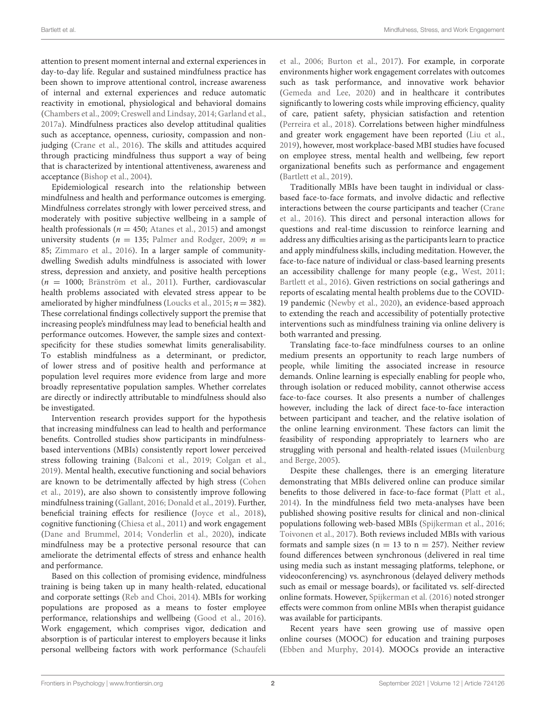attention to present moment internal and external experiences in day-to-day life. Regular and sustained mindfulness practice has been shown to improve attentional control, increase awareness of internal and external experiences and reduce automatic reactivity in emotional, physiological and behavioral domains [\(Chambers et al., 2009;](#page-9-0) [Creswell and Lindsay, 2014;](#page-9-1) [Garland et](#page-9-2) al., [2017a\)](#page-9-2). Mindfulness practices also develop attitudinal qualities such as acceptance, openness, curiosity, compassion and nonjudging [\(Crane et al., 2016\)](#page-9-3). The skills and attitudes acquired through practicing mindfulness thus support a way of being that is characterized by intentional attentiveness, awareness and acceptance [\(Bishop et al., 2004\)](#page-8-0).

Epidemiological research into the relationship between mindfulness and health and performance outcomes is emerging. Mindfulness correlates strongly with lower perceived stress, and moderately with positive subjective wellbeing in a sample of health professionals ( $n = 450$ ; [Atanes et al., 2015\)](#page-8-1) and amongst university students ( $n = 135$ ; [Palmer and Rodger, 2009;](#page-10-0)  $n =$ 85; [Zimmaro et al., 2016\)](#page-10-1). In a larger sample of communitydwelling Swedish adults mindfulness is associated with lower stress, depression and anxiety, and positive health perceptions  $(n = 1000;$  [Bränström et al., 2011\)](#page-8-2). Further, cardiovascular health problems associated with elevated stress appear to be ameliorated by higher mindfulness [\(Loucks et al., 2015;](#page-9-4)  $n = 382$ ). These correlational findings collectively support the premise that increasing people's mindfulness may lead to beneficial health and performance outcomes. However, the sample sizes and contextspecificity for these studies somewhat limits generalisability. To establish mindfulness as a determinant, or predictor, of lower stress and of positive health and performance at population level requires more evidence from large and more broadly representative population samples. Whether correlates are directly or indirectly attributable to mindfulness should also be investigated.

Intervention research provides support for the hypothesis that increasing mindfulness can lead to health and performance benefits. Controlled studies show participants in mindfulnessbased interventions (MBIs) consistently report lower perceived stress following training [\(Balconi et al., 2019;](#page-8-3) [Colgan et al.,](#page-9-5) [2019\)](#page-9-5). Mental health, executive functioning and social behaviors are known to be detrimentally affected by high stress (Cohen et al., [2019\)](#page-9-6), are also shown to consistently improve following mindfulness training [\(Gallant, 2016;](#page-9-7) [Donald et al., 2019\)](#page-9-8). Further, beneficial training effects for resilience [\(Joyce et al., 2018\)](#page-9-9), cognitive functioning [\(Chiesa et al., 2011\)](#page-9-10) and work engagement [\(Dane and Brummel, 2014;](#page-9-11) [Vonderlin et al., 2020\)](#page-10-2), indicate mindfulness may be a protective personal resource that can ameliorate the detrimental effects of stress and enhance health and performance.

Based on this collection of promising evidence, mindfulness training is being taken up in many health-related, educational and corporate settings [\(Reb and Choi, 2014\)](#page-10-3). MBIs for working populations are proposed as a means to foster employee performance, relationships and wellbeing [\(Good et al., 2016\)](#page-9-12). Work engagement, which comprises vigor, dedication and absorption is of particular interest to employers because it links personal wellbeing factors with work performance (Schaufeli et al., [2006;](#page-10-4) [Burton et al., 2017\)](#page-8-4). For example, in corporate environments higher work engagement correlates with outcomes such as task performance, and innovative work behavior [\(Gemeda and Lee, 2020\)](#page-9-13) and in healthcare it contributes significantly to lowering costs while improving efficiency, quality of care, patient safety, physician satisfaction and retention [\(Perreira et al., 2018\)](#page-10-5). Correlations between higher mindfulness and greater work engagement have been reported [\(Liu et al.,](#page-9-14) [2019\)](#page-9-14), however, most workplace-based MBI studies have focused on employee stress, mental health and wellbeing, few report organizational benefits such as performance and engagement [\(Bartlett et al., 2019\)](#page-8-5).

Traditionally MBIs have been taught in individual or classbased face-to-face formats, and involve didactic and reflective interactions between the course participants and teacher (Crane et al., [2016\)](#page-9-3). This direct and personal interaction allows for questions and real-time discussion to reinforce learning and address any difficulties arising as the participants learn to practice and apply mindfulness skills, including meditation. However, the face-to-face nature of individual or class-based learning presents an accessibility challenge for many people (e.g., [West, 2011;](#page-10-6) [Bartlett et al., 2016\)](#page-8-6). Given restrictions on social gatherings and reports of escalating mental health problems due to the COVID-19 pandemic [\(Newby et al., 2020\)](#page-10-7), an evidence-based approach to extending the reach and accessibility of potentially protective interventions such as mindfulness training via online delivery is both warranted and pressing.

Translating face-to-face mindfulness courses to an online medium presents an opportunity to reach large numbers of people, while limiting the associated increase in resource demands. Online learning is especially enabling for people who, through isolation or reduced mobility, cannot otherwise access face-to-face courses. It also presents a number of challenges however, including the lack of direct face-to-face interaction between participant and teacher, and the relative isolation of the online learning environment. These factors can limit the feasibility of responding appropriately to learners who are struggling with personal and health-related issues (Muilenburg and Berge, [2005\)](#page-10-8).

Despite these challenges, there is an emerging literature demonstrating that MBIs delivered online can produce similar benefits to those delivered in face-to-face format [\(Platt et al.,](#page-10-9) [2014\)](#page-10-9). In the mindfulness field two meta-analyses have been published showing positive results for clinical and non-clinical populations following web-based MBIs [\(Spijkerman et al., 2016;](#page-10-10) [Toivonen et al., 2017\)](#page-10-11). Both reviews included MBIs with various formats and sample sizes ( $n = 13$  to  $n = 257$ ). Neither review found differences between synchronous (delivered in real time using media such as instant messaging platforms, telephone, or videoconferencing) vs. asynchronous (delayed delivery methods such as email or message boards), or facilitated vs. self-directed online formats. However, [Spijkerman et al. \(2016\)](#page-10-10) noted stronger effects were common from online MBIs when therapist guidance was available for participants.

Recent years have seen growing use of massive open online courses (MOOC) for education and training purposes [\(Ebben and Murphy, 2014\)](#page-9-15). MOOCs provide an interactive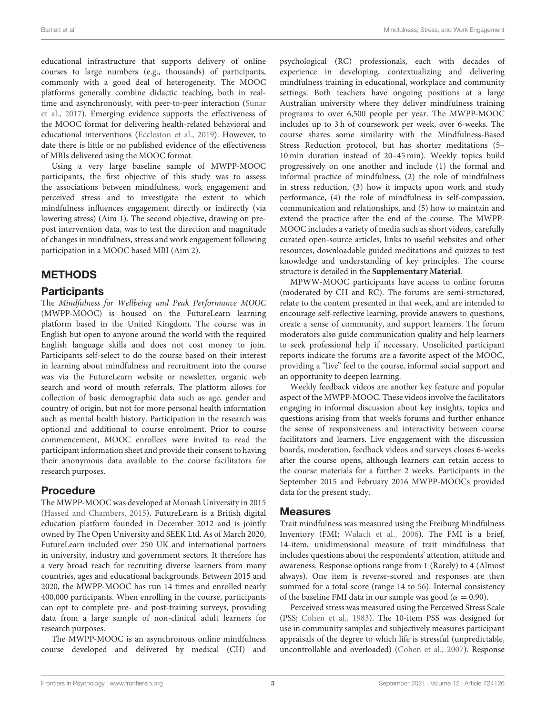educational infrastructure that supports delivery of online courses to large numbers (e.g., thousands) of participants, commonly with a good deal of heterogeneity. The MOOC platforms generally combine didactic teaching, both in realtime and asynchronously, with peer-to-peer interaction (Sunar et al., [2017\)](#page-10-12). Emerging evidence supports the effectiveness of the MOOC format for delivering health-related behavioral and educational interventions [\(Eccleston et al., 2019\)](#page-9-16). However, to date there is little or no published evidence of the effectiveness of MBIs delivered using the MOOC format.

Using a very large baseline sample of MWPP-MOOC participants, the first objective of this study was to assess the associations between mindfulness, work engagement and perceived stress and to investigate the extent to which mindfulness influences engagement directly or indirectly (via lowering stress) (Aim 1). The second objective, drawing on prepost intervention data, was to test the direction and magnitude of changes in mindfulness, stress and work engagement following participation in a MOOC based MBI (Aim 2).

# METHODS

### **Participants**

The Mindfulness for Wellbeing and Peak Performance MOOC (MWPP-MOOC) is housed on the FutureLearn learning platform based in the United Kingdom. The course was in English but open to anyone around the world with the required English language skills and does not cost money to join. Participants self-select to do the course based on their interest in learning about mindfulness and recruitment into the course was via the FutureLearn website or newsletter, organic web search and word of mouth referrals. The platform allows for collection of basic demographic data such as age, gender and country of origin, but not for more personal health information such as mental health history. Participation in the research was optional and additional to course enrolment. Prior to course commencement, MOOC enrollees were invited to read the participant information sheet and provide their consent to having their anonymous data available to the course facilitators for research purposes.

# Procedure

The MWPP-MOOC was developed at Monash University in 2015 [\(Hassed and Chambers, 2015\)](#page-9-17). FutureLearn is a British digital education platform founded in December 2012 and is jointly owned by The Open University and SEEK Ltd. As of March 2020, FutureLearn included over 250 UK and international partners in university, industry and government sectors. It therefore has a very broad reach for recruiting diverse learners from many countries, ages and educational backgrounds. Between 2015 and 2020, the MWPP-MOOC has run 14 times and enrolled nearly 400,000 participants. When enrolling in the course, participants can opt to complete pre- and post-training surveys, providing data from a large sample of non-clinical adult learners for research purposes.

The MWPP-MOOC is an asynchronous online mindfulness course developed and delivered by medical (CH) and

psychological (RC) professionals, each with decades of experience in developing, contextualizing and delivering mindfulness training in educational, workplace and community settings. Both teachers have ongoing positions at a large Australian university where they deliver mindfulness training programs to over 6,500 people per year. The MWPP-MOOC includes up to 3 h of coursework per week, over 6-weeks. The course shares some similarity with the Mindfulness-Based Stress Reduction protocol, but has shorter meditations (5– 10 min duration instead of 20–45 min). Weekly topics build progressively on one another and include (1) the formal and informal practice of mindfulness, (2) the role of mindfulness in stress reduction, (3) how it impacts upon work and study performance, (4) the role of mindfulness in self-compassion, communication and relationships, and (5) how to maintain and extend the practice after the end of the course. The MWPP-MOOC includes a variety of media such as short videos, carefully curated open-source articles, links to useful websites and other resources, downloadable guided meditations and quizzes to test knowledge and understanding of key principles. The course structure is detailed in the **[Supplementary Material](#page-8-7)**.

MPWW-MOOC participants have access to online forums (moderated by CH and RC). The forums are semi-structured, relate to the content presented in that week, and are intended to encourage self-reflective learning, provide answers to questions, create a sense of community, and support learners. The forum moderators also guide communication quality and help learners to seek professional help if necessary. Unsolicited participant reports indicate the forums are a favorite aspect of the MOOC, providing a "live" feel to the course, informal social support and an opportunity to deepen learning.

Weekly feedback videos are another key feature and popular aspect of the MWPP-MOOC. These videos involve the facilitators engaging in informal discussion about key insights, topics and questions arising from that week's forums and further enhance the sense of responsiveness and interactivity between course facilitators and learners. Live engagement with the discussion boards, moderation, feedback videos and surveys closes 6-weeks after the course opens, although learners can retain access to the course materials for a further 2 weeks. Participants in the September 2015 and February 2016 MWPP-MOOCs provided data for the present study.

#### Measures

Trait mindfulness was measured using the Freiburg Mindfulness Inventory (FMI; [Walach et al., 2006\)](#page-10-13). The FMI is a brief, 14-item, unidimensional measure of trait mindfulness that includes questions about the respondents' attention, attitude and awareness. Response options range from 1 (Rarely) to 4 (Almost always). One item is reverse-scored and responses are then summed for a total score (range 14 to 56). Internal consistency of the baseline FMI data in our sample was good ( $\alpha = 0.90$ ).

Perceived stress was measured using the Perceived Stress Scale (PSS; [Cohen et al., 1983\)](#page-9-18). The 10-item PSS was designed for use in community samples and subjectively measures participant appraisals of the degree to which life is stressful (unpredictable, uncontrollable and overloaded) [\(Cohen et al., 2007\)](#page-9-19). Response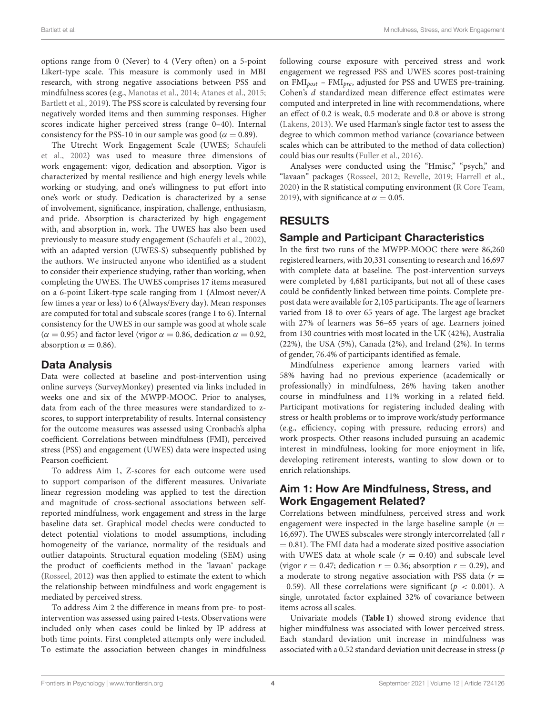options range from 0 (Never) to 4 (Very often) on a 5-point Likert-type scale. This measure is commonly used in MBI research, with strong negative associations between PSS and mindfulness scores (e.g., [Manotas et al., 2014;](#page-9-20) [Atanes et al., 2015;](#page-8-1) [Bartlett et al., 2019\)](#page-8-5). The PSS score is calculated by reversing four negatively worded items and then summing responses. Higher scores indicate higher perceived stress (range 0–40). Internal consistency for the PSS-10 in our sample was good ( $\alpha = 0.89$ ).

The Utrecht Work Engagement Scale (UWES; Schaufeli et al., [2002\)](#page-10-14) was used to measure three dimensions of work engagement: vigor, dedication and absorption. Vigor is characterized by mental resilience and high energy levels while working or studying, and one's willingness to put effort into one's work or study. Dedication is characterized by a sense of involvement, significance, inspiration, challenge, enthusiasm, and pride. Absorption is characterized by high engagement with, and absorption in, work. The UWES has also been used previously to measure study engagement [\(Schaufeli et al., 2002\)](#page-10-14), with an adapted version (UWES-S) subsequently published by the authors. We instructed anyone who identified as a student to consider their experience studying, rather than working, when completing the UWES. The UWES comprises 17 items measured on a 6-point Likert-type scale ranging from 1 (Almost never/A few times a year or less) to 6 (Always/Every day). Mean responses are computed for total and subscale scores (range 1 to 6). Internal consistency for the UWES in our sample was good at whole scale ( $\alpha$  = 0.95) and factor level (vigor  $\alpha$  = 0.86, dedication  $\alpha$  = 0.92, absorption  $\alpha = 0.86$ ).

# Data Analysis

Data were collected at baseline and post-intervention using online surveys (SurveyMonkey) presented via links included in weeks one and six of the MWPP-MOOC. Prior to analyses, data from each of the three measures were standardized to zscores, to support interpretability of results. Internal consistency for the outcome measures was assessed using Cronbach's alpha coefficient. Correlations between mindfulness (FMI), perceived stress (PSS) and engagement (UWES) data were inspected using Pearson coefficient.

To address Aim 1, Z-scores for each outcome were used to support comparison of the different measures. Univariate linear regression modeling was applied to test the direction and magnitude of cross-sectional associations between selfreported mindfulness, work engagement and stress in the large baseline data set. Graphical model checks were conducted to detect potential violations to model assumptions, including homogeneity of the variance, normality of the residuals and outlier datapoints. Structural equation modeling (SEM) using the product of coefficients method in the 'lavaan' package [\(Rosseel, 2012\)](#page-10-15) was then applied to estimate the extent to which the relationship between mindfulness and work engagement is mediated by perceived stress.

To address Aim 2 the difference in means from pre- to postintervention was assessed using paired t-tests. Observations were included only when cases could be linked by IP address at both time points. First completed attempts only were included. To estimate the association between changes in mindfulness following course exposure with perceived stress and work engagement we regressed PSS and UWES scores post-training on  $\text{FMI}_{\text{post}}$  –  $\text{FMI}_{\text{bre}}$ , adjusted for PSS and UWES pre-training. Cohen's d standardized mean difference effect estimates were computed and interpreted in line with recommendations, where an effect of 0.2 is weak, 0.5 moderate and 0.8 or above is strong [\(Lakens, 2013\)](#page-9-21). We used Harman's single factor test to assess the degree to which common method variance (covariance between scales which can be attributed to the method of data collection) could bias our results [\(Fuller et al., 2016\)](#page-9-22).

Analyses were conducted using the "Hmisc," "psych," and "lavaan" packages [\(Rosseel, 2012;](#page-10-15) [Revelle, 2019;](#page-10-16) [Harrell et al.,](#page-9-23) [2020\)](#page-9-23) in the R statistical computing environment [\(R Core Team,](#page-10-17) [2019\)](#page-10-17), with significance at  $\alpha = 0.05$ .

# RESULTS

# Sample and Participant Characteristics

In the first two runs of the MWPP-MOOC there were 86,260 registered learners, with 20,331 consenting to research and 16,697 with complete data at baseline. The post-intervention surveys were completed by 4,681 participants, but not all of these cases could be confidently linked between time points. Complete prepost data were available for 2,105 participants. The age of learners varied from 18 to over 65 years of age. The largest age bracket with 27% of learners was 56–65 years of age. Learners joined from 130 countries with most located in the UK (42%), Australia (22%), the USA (5%), Canada (2%), and Ireland (2%). In terms of gender, 76.4% of participants identified as female.

Mindfulness experience among learners varied with 58% having had no previous experience (academically or professionally) in mindfulness, 26% having taken another course in mindfulness and 11% working in a related field. Participant motivations for registering included dealing with stress or health problems or to improve work/study performance (e.g., efficiency, coping with pressure, reducing errors) and work prospects. Other reasons included pursuing an academic interest in mindfulness, looking for more enjoyment in life, developing retirement interests, wanting to slow down or to enrich relationships.

# Aim 1: How Are Mindfulness, Stress, and Work Engagement Related?

Correlations between mindfulness, perceived stress and work engagement were inspected in the large baseline sample ( $n =$ 16,697). The UWES subscales were strongly intercorrelated (all  $r$  $= 0.81$ ). The FMI data had a moderate sized positive association with UWES data at whole scale  $(r = 0.40)$  and subscale level (vigor  $r = 0.47$ ; dedication  $r = 0.36$ ; absorption  $r = 0.29$ ), and a moderate to strong negative association with PSS data ( $r =$  $-0.59$ ). All these correlations were significant ( $p < 0.001$ ). A single, unrotated factor explained 32% of covariance between items across all scales.

Univariate models (**[Table 1](#page-4-0)**) showed strong evidence that higher mindfulness was associated with lower perceived stress. Each standard deviation unit increase in mindfulness was associated with a 0.52 standard deviation unit decrease in stress  $(p)$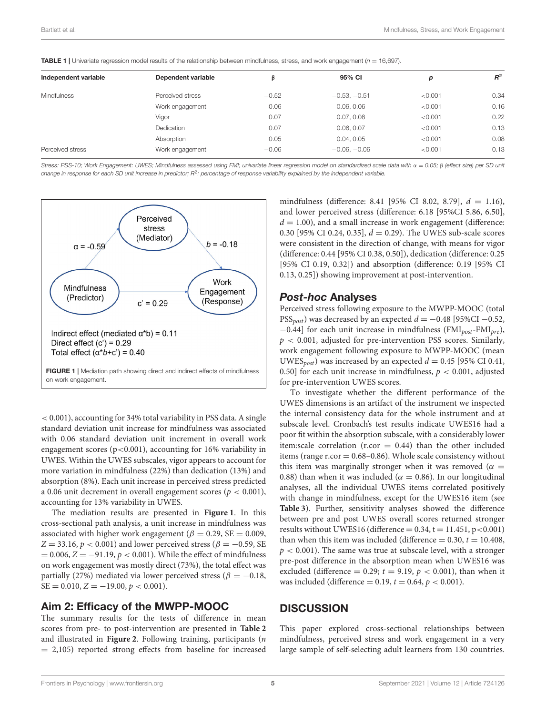| Independent variable | Dependent variable |         | 95% CI         | p       | $R^2$ |
|----------------------|--------------------|---------|----------------|---------|-------|
| <b>Mindfulness</b>   | Perceived stress   | $-0.52$ | $-0.53, -0.51$ | < 0.001 | 0.34  |
|                      | Work engagement    | 0.06    | 0.06, 0.06     | < 0.001 | 0.16  |
|                      | Vigor              | 0.07    | 0.07, 0.08     | < 0.001 | 0.22  |
|                      | Dedication         | 0.07    | 0.06, 0.07     | < 0.001 | 0.13  |
|                      | Absorption         | 0.05    | 0.04, 0.05     | < 0.001 | 0.08  |
| Perceived stress     | Work engagement    | $-0.06$ | $-0.06, -0.06$ | < 0.001 | 0.13  |

<span id="page-4-0"></span>**TABLE 1** | Univariate regression model results of the relationship between mindfulness, stress, and work engagement ( $n = 16,697$ ).

Stress: PSS-10; Work Engagement: UWES; Mindfulness assessed using FMI; univariate linear regression model on standardized scale data with α = 0.05; β (effect size) per SD unit change in response for each SD unit increase in predictor;  $R^2$ : percentage of response variability explained by the independent variable.



<span id="page-4-1"></span>< 0.001), accounting for 34% total variability in PSS data. A single standard deviation unit increase for mindfulness was associated with 0.06 standard deviation unit increment in overall work engagement scores ( $p < 0.001$ ), accounting for 16% variability in UWES. Within the UWES subscales, vigor appears to account for more variation in mindfulness (22%) than dedication (13%) and absorption (8%). Each unit increase in perceived stress predicted a 0.06 unit decrement in overall engagement scores ( $p < 0.001$ ), accounting for 13% variability in UWES.

The mediation results are presented in **[Figure 1](#page-4-1)**. In this cross-sectional path analysis, a unit increase in mindfulness was associated with higher work engagement ( $\beta = 0.29$ , SE = 0.009, Z = 33.16,  $p < 0.001$ ) and lower perceived stress ( $\beta = -0.59$ , SE  $= 0.006, Z = -91.19, p < 0.001$ . While the effect of mindfulness on work engagement was mostly direct (73%), the total effect was partially (27%) mediated via lower perceived stress ( $\beta = -0.18$ ,  $SE = 0.010, Z = -19.00, p < 0.001$ .

#### Aim 2: Efficacy of the MWPP-MOOC

The summary results for the tests of difference in mean scores from pre- to post-intervention are presented in **[Table 2](#page-5-0)** and illustrated in **[Figure 2](#page-5-1)**. Following training, participants (n  $= 2,105$ ) reported strong effects from baseline for increased

mindfulness (difference: 8.41 [95% CI 8.02, 8.79],  $d = 1.16$ ), and lower perceived stress (difference: 6.18 [95%CI 5.86, 6.50],  $d = 1.00$ ), and a small increase in work engagement (difference: 0.30 [95% CI 0.24, 0.35],  $d = 0.29$ ). The UWES sub-scale scores were consistent in the direction of change, with means for vigor (difference: 0.44 [95% CI 0.38, 0.50]), dedication (difference: 0.25 [95% CI 0.19, 0.32]) and absorption (difference: 0.19 [95% CI 0.13, 0.25]) showing improvement at post-intervention.

#### Post-hoc Analyses

Perceived stress following exposure to the MWPP-MOOC (total PSS<sub>post</sub>) was decreased by an expected  $d = -0.48$  [95%CI –0.52,  $-0.44$ ] for each unit increase in mindfulness (FMI<sub>post</sub>-FMI<sub>pre</sub>),  $p < 0.001$ , adjusted for pre-intervention PSS scores. Similarly, work engagement following exposure to MWPP-MOOC (mean UWES<sub>post</sub>) was increased by an expected  $d = 0.45$  [95% CI 0.41, 0.50] for each unit increase in mindfulness,  $p < 0.001$ , adjusted for pre-intervention UWES scores.

To investigate whether the different performance of the UWES dimensions is an artifact of the instrument we inspected the internal consistency data for the whole instrument and at subscale level. Cronbach's test results indicate UWES16 had a poor fit within the absorption subscale, with a considerably lower item:scale correlation (r.cor  $= 0.44$ ) than the other included items (range  $r_{\rm corr} = 0.68 - 0.86$ ). Whole scale consistency without this item was marginally stronger when it was removed ( $\alpha =$ 0.88) than when it was included ( $\alpha = 0.86$ ). In our longitudinal analyses, all the individual UWES items correlated positively with change in mindfulness, except for the UWES16 item (see **[Table 3](#page-5-2)**). Further, sensitivity analyses showed the difference between pre and post UWES overall scores returned stronger results without UWES16 (difference  $= 0.34$ , t  $= 11.451$ , p $< 0.001$ ) than when this item was included (difference  $= 0.30, t = 10.408$ ,  $p < 0.001$ ). The same was true at subscale level, with a stronger pre-post difference in the absorption mean when UWES16 was excluded (difference = 0.29;  $t = 9.19$ ,  $p < 0.001$ ), than when it was included (difference = 0.19,  $t = 0.64$ ,  $p < 0.001$ ).

### **DISCUSSION**

This paper explored cross-sectional relationships between mindfulness, perceived stress and work engagement in a very large sample of self-selecting adult learners from 130 countries.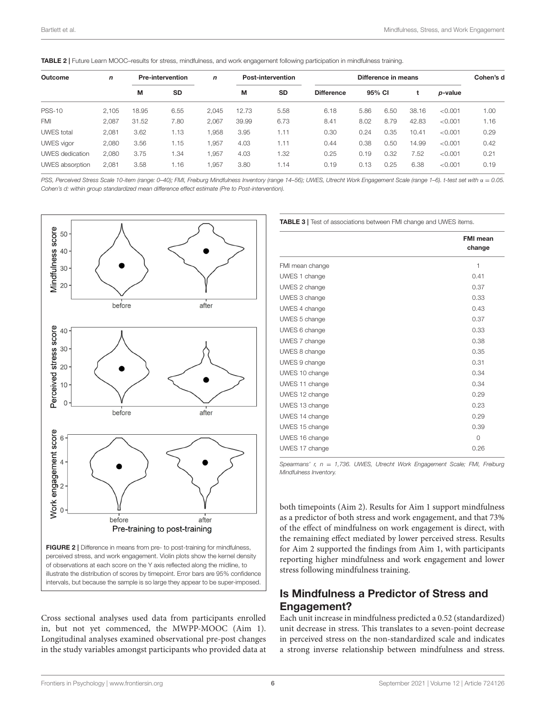<span id="page-5-0"></span>

|  | TABLE 2   Future Learn MOOC-results for stress, mindfulness, and work engagement following participation in mindfulness training. |
|--|-----------------------------------------------------------------------------------------------------------------------------------|
|--|-----------------------------------------------------------------------------------------------------------------------------------|

| Outcome           | <b>Pre-intervention</b><br>$\mathbf n$<br>М<br><b>SD</b> |       |      | $\mathsf{n}$ | <b>Post-intervention</b> |      | Difference in means |      |                 |       |         | Cohen's d |
|-------------------|----------------------------------------------------------|-------|------|--------------|--------------------------|------|---------------------|------|-----------------|-------|---------|-----------|
|                   |                                                          |       | M    | <b>SD</b>    | <b>Difference</b>        |      | 95% CI              |      | <i>p</i> -value |       |         |           |
| <b>PSS-10</b>     | 2.105                                                    | 18.95 | 6.55 | 2.045        | 12.73                    | 5.58 | 6.18                | 5.86 | 6.50            | 38.16 | < 0.001 | 1.00      |
| <b>FMI</b>        | 2,087                                                    | 31.52 | 7.80 | 2.067        | 39.99                    | 6.73 | 8.41                | 8.02 | 8.79            | 42.83 | < 0.001 | 1.16      |
| <b>UWES</b> total | 2.081                                                    | 3.62  | 1.13 | 1.958        | 3.95                     | 1.11 | 0.30                | 0.24 | 0.35            | 10.41 | < 0.001 | 0.29      |
| <b>UWES</b> vigor | 2,080                                                    | 3.56  | 1.15 | 1.957        | 4.03                     | 1.11 | 0.44                | 0.38 | 0.50            | 14.99 | < 0.001 | 0.42      |
| UWES dedication   | 2.080                                                    | 3.75  | 1.34 | 1.957        | 4.03                     | 1.32 | 0.25                | 0.19 | 0.32            | 7.52  | < 0.001 | 0.21      |
| UWES absorption   | 2,081                                                    | 3.58  | 1.16 | 1.957        | 3.80                     | 1.14 | 0.19                | 0.13 | 0.25            | 6.38  | < 0.001 | 0.19      |

PSS, Perceived Stress Scale 10-item (range: 0–40); FMI, Freiburg Mindfulness Inventory (range 14–56); UWES, Utrecht Work Engagement Scale (range 1–6). t-test set with α = 0.05. Cohen's d: within group standardized mean difference effect estimate (Pre to Post-intervention).



<span id="page-5-1"></span>Cross sectional analyses used data from participants enrolled in, but not yet commenced, the MWPP-MOOC (Aim 1). Longitudinal analyses examined observational pre-post changes in the study variables amongst participants who provided data at <span id="page-5-2"></span>**TABLE 3 | Test of associations between FMI change and UWES items.** 

|                 | <b>FMI</b> mean<br>change |
|-----------------|---------------------------|
| FMI mean change | 1                         |
| UWES 1 change   | 0.41                      |
| UWES 2 change   | 0.37                      |
| UWES 3 change   | 0.33                      |
| UWES 4 change   | 0.43                      |
| UWES 5 change   | 0.37                      |
| UWES 6 change   | 0.33                      |
| UWES 7 change   | 0.38                      |
| UWES 8 change   | 0.35                      |
| UWES 9 change   | 0.31                      |
| UWES 10 change  | 0.34                      |
| UWES 11 change  | 0.34                      |
| UWES 12 change  | 0.29                      |
| UWES 13 change  | 0.23                      |
| UWES 14 change  | 0.29                      |
| UWES 15 change  | 0.39                      |
| UWES 16 change  | $\Omega$                  |
| UWES 17 change  | 0.26                      |

Spearmans' r,  $n = 1,736$ . UWES, Utrecht Work Engagement Scale; FMI, Freiburg Mindfulness Inventory.

both timepoints (Aim 2). Results for Aim 1 support mindfulness as a predictor of both stress and work engagement, and that 73% of the effect of mindfulness on work engagement is direct, with the remaining effect mediated by lower perceived stress. Results for Aim 2 supported the findings from Aim 1, with participants reporting higher mindfulness and work engagement and lower stress following mindfulness training.

# Is Mindfulness a Predictor of Stress and Engagement?

Each unit increase in mindfulness predicted a 0.52 (standardized) unit decrease in stress. This translates to a seven-point decrease in perceived stress on the non-standardized scale and indicates a strong inverse relationship between mindfulness and stress.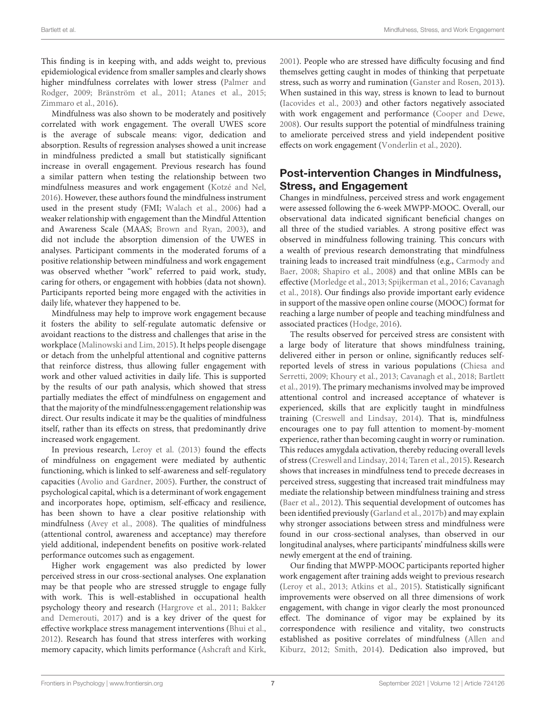This finding is in keeping with, and adds weight to, previous epidemiological evidence from smaller samples and clearly shows higher mindfulness correlates with lower stress (Palmer and Rodger, [2009;](#page-10-0) [Bränström et al., 2011;](#page-8-2) [Atanes et al., 2015;](#page-8-1) [Zimmaro et al., 2016\)](#page-10-1).

Mindfulness was also shown to be moderately and positively correlated with work engagement. The overall UWES score is the average of subscale means: vigor, dedication and absorption. Results of regression analyses showed a unit increase in mindfulness predicted a small but statistically significant increase in overall engagement. Previous research has found a similar pattern when testing the relationship between two mindfulness measures and work engagement [\(Kotzé and Nel,](#page-9-24) [2016\)](#page-9-24). However, these authors found the mindfulness instrument used in the present study (FMI; [Walach et al., 2006\)](#page-10-13) had a weaker relationship with engagement than the Mindful Attention and Awareness Scale (MAAS; [Brown and Ryan, 2003\)](#page-8-8), and did not include the absorption dimension of the UWES in analyses. Participant comments in the moderated forums of a positive relationship between mindfulness and work engagement was observed whether "work" referred to paid work, study, caring for others, or engagement with hobbies (data not shown). Participants reported being more engaged with the activities in daily life, whatever they happened to be.

Mindfulness may help to improve work engagement because it fosters the ability to self-regulate automatic defensive or avoidant reactions to the distress and challenges that arise in the workplace [\(Malinowski and Lim, 2015\)](#page-9-25). It helps people disengage or detach from the unhelpful attentional and cognitive patterns that reinforce distress, thus allowing fuller engagement with work and other valued activities in daily life. This is supported by the results of our path analysis, which showed that stress partially mediates the effect of mindfulness on engagement and that the majority of the mindfulness:engagement relationship was direct. Our results indicate it may be the qualities of mindfulness itself, rather than its effects on stress, that predominantly drive increased work engagement.

In previous research, [Leroy et al. \(2013\)](#page-9-26) found the effects of mindfulness on engagement were mediated by authentic functioning, which is linked to self-awareness and self-regulatory capacities [\(Avolio and Gardner, 2005\)](#page-8-9). Further, the construct of psychological capital, which is a determinant of work engagement and incorporates hope, optimism, self-efficacy and resilience, has been shown to have a clear positive relationship with mindfulness [\(Avey et al., 2008\)](#page-8-10). The qualities of mindfulness (attentional control, awareness and acceptance) may therefore yield additional, independent benefits on positive work-related performance outcomes such as engagement.

Higher work engagement was also predicted by lower perceived stress in our cross-sectional analyses. One explanation may be that people who are stressed struggle to engage fully with work. This is well-established in occupational health psychology theory and research [\(Hargrove et al., 2011;](#page-9-27) Bakker and Demerouti, [2017\)](#page-8-11) and is a key driver of the quest for effective workplace stress management interventions [\(Bhui et al.,](#page-8-12) [2012\)](#page-8-12). Research has found that stress interferes with working memory capacity, which limits performance [\(Ashcraft and Kirk,](#page-8-13) [2001\)](#page-8-13). People who are stressed have difficulty focusing and find themselves getting caught in modes of thinking that perpetuate stress, such as worry and rumination [\(Ganster and Rosen, 2013\)](#page-9-28). When sustained in this way, stress is known to lead to burnout [\(Iacovides et al., 2003\)](#page-9-29) and other factors negatively associated with work engagement and performance [\(Cooper and Dewe,](#page-9-30) [2008\)](#page-9-30). Our results support the potential of mindfulness training to ameliorate perceived stress and yield independent positive effects on work engagement [\(Vonderlin et al., 2020\)](#page-10-2).

# Post-intervention Changes in Mindfulness, Stress, and Engagement

Changes in mindfulness, perceived stress and work engagement were assessed following the 6-week MWPP-MOOC. Overall, our observational data indicated significant beneficial changes on all three of the studied variables. A strong positive effect was observed in mindfulness following training. This concurs with a wealth of previous research demonstrating that mindfulness training leads to increased trait mindfulness (e.g., Carmody and Baer, [2008;](#page-8-14) [Shapiro et al., 2008\)](#page-10-18) and that online MBIs can be effective [\(Morledge et al., 2013;](#page-9-31) [Spijkerman et al., 2016;](#page-10-10) Cavanagh et al., [2018\)](#page-9-32). Our findings also provide important early evidence in support of the massive open online course (MOOC) format for reaching a large number of people and teaching mindfulness and associated practices [\(Hodge, 2016\)](#page-9-33).

The results observed for perceived stress are consistent with a large body of literature that shows mindfulness training, delivered either in person or online, significantly reduces selfreported levels of stress in various populations (Chiesa and Serretti, [2009;](#page-9-34) [Khoury et al., 2013;](#page-9-35) [Cavanagh et al., 2018;](#page-9-32) Bartlett et al., [2019\)](#page-8-5). The primary mechanisms involved may be improved attentional control and increased acceptance of whatever is experienced, skills that are explicitly taught in mindfulness training [\(Creswell and Lindsay, 2014\)](#page-9-1). That is, mindfulness encourages one to pay full attention to moment-by-moment experience, rather than becoming caught in worry or rumination. This reduces amygdala activation, thereby reducing overall levels of stress [\(Creswell and Lindsay, 2014;](#page-9-1) [Taren et al., 2015\)](#page-10-19). Research shows that increases in mindfulness tend to precede decreases in perceived stress, suggesting that increased trait mindfulness may mediate the relationship between mindfulness training and stress [\(Baer et al., 2012\)](#page-8-15). This sequential development of outcomes has been identified previously [\(Garland et al., 2017b\)](#page-9-36) and may explain why stronger associations between stress and mindfulness were found in our cross-sectional analyses, than observed in our longitudinal analyses, where participants' mindfulness skills were newly emergent at the end of training.

Our finding that MWPP-MOOC participants reported higher work engagement after training adds weight to previous research [\(Leroy et al., 2013;](#page-9-26) [Atkins et al., 2015\)](#page-8-16). Statistically significant improvements were observed on all three dimensions of work engagement, with change in vigor clearly the most pronounced effect. The dominance of vigor may be explained by its correspondence with resilience and vitality, two constructs established as positive correlates of mindfulness (Allen and Kiburz, [2012;](#page-8-17) [Smith, 2014\)](#page-10-20). Dedication also improved, but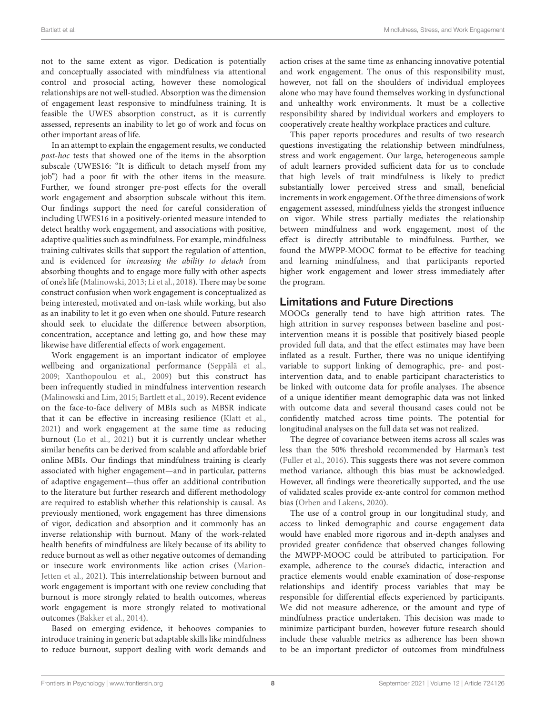not to the same extent as vigor. Dedication is potentially and conceptually associated with mindfulness via attentional control and prosocial acting, however these nomological relationships are not well-studied. Absorption was the dimension of engagement least responsive to mindfulness training. It is feasible the UWES absorption construct, as it is currently assessed, represents an inability to let go of work and focus on other important areas of life.

In an attempt to explain the engagement results, we conducted post-hoc tests that showed one of the items in the absorption subscale (UWES16: "It is difficult to detach myself from my job") had a poor fit with the other items in the measure. Further, we found stronger pre-post effects for the overall work engagement and absorption subscale without this item. Our findings support the need for careful consideration of including UWES16 in a positively-oriented measure intended to detect healthy work engagement, and associations with positive, adaptive qualities such as mindfulness. For example, mindfulness training cultivates skills that support the regulation of attention, and is evidenced for increasing the ability to detach from absorbing thoughts and to engage more fully with other aspects of one's life [\(Malinowski, 2013;](#page-9-37) [Li et al., 2018\)](#page-9-38). There may be some construct confusion when work engagement is conceptualized as being interested, motivated and on-task while working, but also as an inability to let it go even when one should. Future research should seek to elucidate the difference between absorption, concentration, acceptance and letting go, and how these may likewise have differential effects of work engagement.

Work engagement is an important indicator of employee wellbeing and organizational performance [\(Seppälä et al.,](#page-10-21) [2009;](#page-10-21) [Xanthopoulou et al., 2009\)](#page-10-22) but this construct has been infrequently studied in mindfulness intervention research [\(Malinowski and Lim, 2015;](#page-9-25) [Bartlett et al., 2019\)](#page-8-5). Recent evidence on the face-to-face delivery of MBIs such as MBSR indicate that it can be effective in increasing resilience [\(Klatt et al.,](#page-9-39) [2021\)](#page-9-39) and work engagement at the same time as reducing burnout [\(Lo et al., 2021\)](#page-9-40) but it is currently unclear whether similar benefits can be derived from scalable and affordable brief online MBIs. Our findings that mindfulness training is clearly associated with higher engagement—and in particular, patterns of adaptive engagement—thus offer an additional contribution to the literature but further research and different methodology are required to establish whether this relationship is causal. As previously mentioned, work engagement has three dimensions of vigor, dedication and absorption and it commonly has an inverse relationship with burnout. Many of the work-related health benefits of mindfulness are likely because of its ability to reduce burnout as well as other negative outcomes of demanding or insecure work environments like action crises (Marion-Jetten et al., [2021\)](#page-9-41). This interrelationship between burnout and work engagement is important with one review concluding that burnout is more strongly related to health outcomes, whereas work engagement is more strongly related to motivational outcomes [\(Bakker et al., 2014\)](#page-8-18).

Based on emerging evidence, it behooves companies to introduce training in generic but adaptable skills like mindfulness to reduce burnout, support dealing with work demands and action crises at the same time as enhancing innovative potential and work engagement. The onus of this responsibility must, however, not fall on the shoulders of individual employees alone who may have found themselves working in dysfunctional and unhealthy work environments. It must be a collective responsibility shared by individual workers and employers to cooperatively create healthy workplace practices and culture.

This paper reports procedures and results of two research questions investigating the relationship between mindfulness, stress and work engagement. Our large, heterogeneous sample of adult learners provided sufficient data for us to conclude that high levels of trait mindfulness is likely to predict substantially lower perceived stress and small, beneficial increments in work engagement. Of the three dimensions of work engagement assessed, mindfulness yields the strongest influence on vigor. While stress partially mediates the relationship between mindfulness and work engagement, most of the effect is directly attributable to mindfulness. Further, we found the MWPP-MOOC format to be effective for teaching and learning mindfulness, and that participants reported higher work engagement and lower stress immediately after the program.

# Limitations and Future Directions

MOOCs generally tend to have high attrition rates. The high attrition in survey responses between baseline and postintervention means it is possible that positively biased people provided full data, and that the effect estimates may have been inflated as a result. Further, there was no unique identifying variable to support linking of demographic, pre- and postintervention data, and to enable participant characteristics to be linked with outcome data for profile analyses. The absence of a unique identifier meant demographic data was not linked with outcome data and several thousand cases could not be confidently matched across time points. The potential for longitudinal analyses on the full data set was not realized.

The degree of covariance between items across all scales was less than the 50% threshold recommended by Harman's test [\(Fuller et al., 2016\)](#page-9-22). This suggests there was not severe common method variance, although this bias must be acknowledged. However, all findings were theoretically supported, and the use of validated scales provide ex-ante control for common method bias [\(Orben and Lakens, 2020\)](#page-10-23).

The use of a control group in our longitudinal study, and access to linked demographic and course engagement data would have enabled more rigorous and in-depth analyses and provided greater confidence that observed changes following the MWPP-MOOC could be attributed to participation. For example, adherence to the course's didactic, interaction and practice elements would enable examination of dose-response relationships and identify process variables that may be responsible for differential effects experienced by participants. We did not measure adherence, or the amount and type of mindfulness practice undertaken. This decision was made to minimize participant burden, however future research should include these valuable metrics as adherence has been shown to be an important predictor of outcomes from mindfulness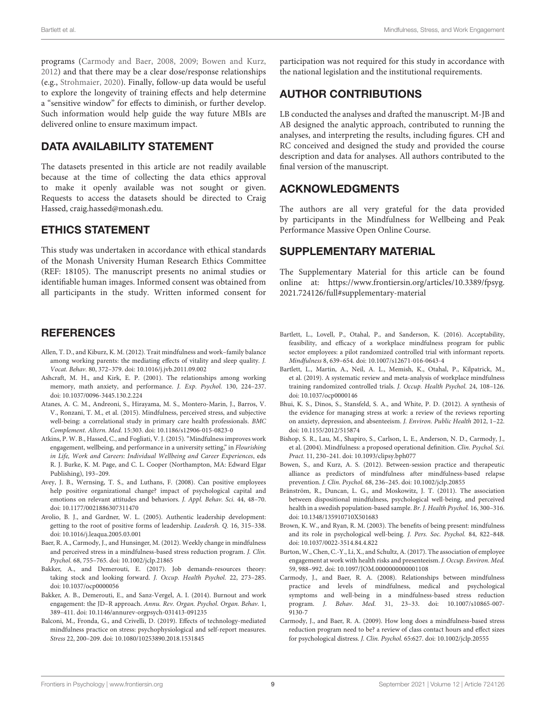programs [\(Carmody and Baer, 2008,](#page-8-14) [2009;](#page-8-19) [Bowen and Kurz,](#page-8-20) [2012\)](#page-8-20) and that there may be a clear dose/response relationships (e.g., [Strohmaier, 2020\)](#page-10-24). Finally, follow-up data would be useful to explore the longevity of training effects and help determine a "sensitive window" for effects to diminish, or further develop. Such information would help guide the way future MBIs are delivered online to ensure maximum impact.

# DATA AVAILABILITY STATEMENT

The datasets presented in this article are not readily available because at the time of collecting the data ethics approval to make it openly available was not sought or given. Requests to access the datasets should be directed to Craig Hassed, [craig.hassed@monash.edu.](mailto:craig.hassed@monash.edu)

# ETHICS STATEMENT

This study was undertaken in accordance with ethical standards of the Monash University Human Research Ethics Committee (REF: 18105). The manuscript presents no animal studies or identifiable human images. Informed consent was obtained from all participants in the study. Written informed consent for

# **REFERENCES**

- <span id="page-8-17"></span>Allen, T. D., and Kiburz, K. M. (2012). Trait mindfulness and work–family balance among working parents: the mediating effects of vitality and sleep quality. J. Vocat. Behav. 80, 372–379. doi: [10.1016/j.jvb.2011.09.002](https://doi.org/10.1016/j.jvb.2011.09.002)
- <span id="page-8-13"></span>Ashcraft, M. H., and Kirk, E. P. (2001). The relationships among working memory, math anxiety, and performance. J. Exp. Psychol. 130, 224–237. doi: [10.1037/0096-3445.130.2.224](https://doi.org/10.1037/0096-3445.130.2.224)
- <span id="page-8-1"></span>Atanes, A. C. M., Andreoni, S., Hirayama, M. S., Montero-Marin, J., Barros, V. V., Ronzani, T. M., et al. (2015). Mindfulness, perceived stress, and subjective well-being: a correlational study in primary care health professionals. BMC Complement. Altern. Med. 15:303. doi: [10.1186/s12906-015-0823-0](https://doi.org/10.1186/s12906-015-0823-0)
- <span id="page-8-16"></span>Atkins, P. W. B., Hassed, C., and Fogliati, V. J. (2015). "Mindfulness improves work engagement, wellbeing, and performance in a university setting," in Flourishing in Life, Work and Careers: Individual Wellbeing and Career Experiences, eds R. J. Burke, K. M. Page, and C. L. Cooper (Northampton, MA: Edward Elgar Publishing), 193–209.
- <span id="page-8-10"></span>Avey, J. B., Wernsing, T. S., and Luthans, F. (2008). Can positive employees help positive organizational change? impact of psychological capital and emotions on relevant attitudes and behaviors. J. Appl. Behav. Sci. 44, 48–70. doi: [10.1177/0021886307311470](https://doi.org/10.1177/0021886307311470)
- <span id="page-8-9"></span>Avolio, B. J., and Gardner, W. L. (2005). Authentic leadership development: getting to the root of positive forms of leadership. Leadersh. Q. 16, 315–338. doi: [10.1016/j.leaqua.2005.03.001](https://doi.org/10.1016/j.leaqua.2005.03.001)
- <span id="page-8-15"></span>Baer, R. A., Carmody, J., and Hunsinger, M. (2012). Weekly change in mindfulness and perceived stress in a mindfulness-based stress reduction program. J. Clin. Psychol. 68, 755–765. doi: [10.1002/jclp.21865](https://doi.org/10.1002/jclp.21865)
- <span id="page-8-11"></span>Bakker, A., and Demerouti, E. (2017). Job demands-resources theory: taking stock and looking forward. J. Occup. Health Psychol. 22, 273–285. doi: [10.1037/ocp0000056](https://doi.org/10.1037/ocp0000056)
- <span id="page-8-18"></span>Bakker, A. B., Demerouti, E., and Sanz-Vergel, A. I. (2014). Burnout and work engagement: the JD–R approach. Annu. Rev. Organ. Psychol. Organ. Behav. 1, 389–411. doi: [10.1146/annurev-orgpsych-031413-091235](https://doi.org/10.1146/annurev-orgpsych-031413-091235)
- <span id="page-8-3"></span>Balconi, M., Fronda, G., and Crivelli, D. (2019). Effects of technology-mediated mindfulness practice on stress: psychophysiological and self-report measures. Stress 22, 200–209. doi: [10.1080/10253890.2018.1531845](https://doi.org/10.1080/10253890.2018.1531845)

participation was not required for this study in accordance with the national legislation and the institutional requirements.

# AUTHOR CONTRIBUTIONS

LB conducted the analyses and drafted the manuscript. M-JB and AB designed the analytic approach, contributed to running the analyses, and interpreting the results, including figures. CH and RC conceived and designed the study and provided the course description and data for analyses. All authors contributed to the final version of the manuscript.

# ACKNOWLEDGMENTS

The authors are all very grateful for the data provided by participants in the Mindfulness for Wellbeing and Peak Performance Massive Open Online Course.

# SUPPLEMENTARY MATERIAL

<span id="page-8-7"></span>The Supplementary Material for this article can be found [online at: https://www.frontiersin.org/articles/10.3389/fpsyg.](https://www.frontiersin.org/articles/10.3389/fpsyg.2021.724126/full#supplementary-material) 2021.724126/full#supplementary-material

- <span id="page-8-6"></span>Bartlett, L., Lovell, P., Otahal, P., and Sanderson, K. (2016). Acceptability, feasibility, and efficacy of a workplace mindfulness program for public sector employees: a pilot randomized controlled trial with informant reports. Mindfulness 8, 639–654. doi: [10.1007/s12671-016-0643-4](https://doi.org/10.1007/s12671-016-0643-4)
- <span id="page-8-5"></span>Bartlett, L., Martin, A., Neil, A. L., Memish, K., Otahal, P., Kilpatrick, M., et al. (2019). A systematic review and meta-analysis of workplace mindfulness training randomized controlled trials. J. Occup. Health Psychol. 24, 108–126. doi: [10.1037/ocp0000146](https://doi.org/10.1037/ocp0000146)
- <span id="page-8-12"></span>Bhui, K. S., Dinos, S., Stansfeld, S. A., and White, P. D. (2012). A synthesis of the evidence for managing stress at work: a review of the reviews reporting on anxiety, depression, and absenteeism. J. Environ. Public Health 2012, 1–22. doi: [10.1155/2012/515874](https://doi.org/10.1155/2012/515874)
- <span id="page-8-0"></span>Bishop, S. R., Lau, M., Shapiro, S., Carlson, L. E., Anderson, N. D., Carmody, J., et al. (2004). Mindfulness: a proposed operational definition. Clin. Psychol. Sci. Pract. 11, 230–241. doi: [10.1093/clipsy.bph077](https://doi.org/10.1093/clipsy.bph077)
- <span id="page-8-20"></span>Bowen, S., and Kurz, A. S. (2012). Between-session practice and therapeutic alliance as predictors of mindfulness after mindfulness-based relapse prevention. J. Clin. Psychol. 68, 236–245. doi: [10.1002/jclp.20855](https://doi.org/10.1002/jclp.20855)
- <span id="page-8-2"></span>Bränström, R., Duncan, L. G., and Moskowitz, J. T. (2011). The association between dispositional mindfulness, psychological well-being, and perceived health in a swedish population-based sample. Br. J. Health Psychol. 16, 300-316. doi: [10.1348/135910710X501683](https://doi.org/10.1348/135910710X501683)
- <span id="page-8-8"></span>Brown, K. W., and Ryan, R. M. (2003). The benefits of being present: mindfulness and its role in psychological well-being. J. Pers. Soc. Psychol. 84, 822–848. doi: [10.1037/0022-3514.84.4.822](https://doi.org/10.1037/0022-3514.84.4.822)
- <span id="page-8-4"></span>Burton, W., Chen, C.-Y., Li, X., and Schultz, A. (2017). The association of employee engagement at work with health risks and presenteeism. J. Occup. Environ. Med. 59, 988–992. doi: [10.1097/JOM.0000000000001108](https://doi.org/10.1097/JOM.0000000000001108)
- <span id="page-8-14"></span>Carmody, J., and Baer, R. A. (2008). Relationships between mindfulness practice and levels of mindfulness, medical and psychological symptoms and well-being in a mindfulness-based stress reduction program. J. Behav. Med. [31, 23–33. doi: 10.1007/s10865-007-](https://doi.org/10.1007/s10865-007-9130-7) 9130-7
- <span id="page-8-19"></span>Carmody, J., and Baer, R. A. (2009). How long does a mindfulness-based stress reduction program need to be? a review of class contact hours and effect sizes for psychological distress. J. Clin. Psychol. 65:627. doi: [10.1002/jclp.20555](https://doi.org/10.1002/jclp.20555)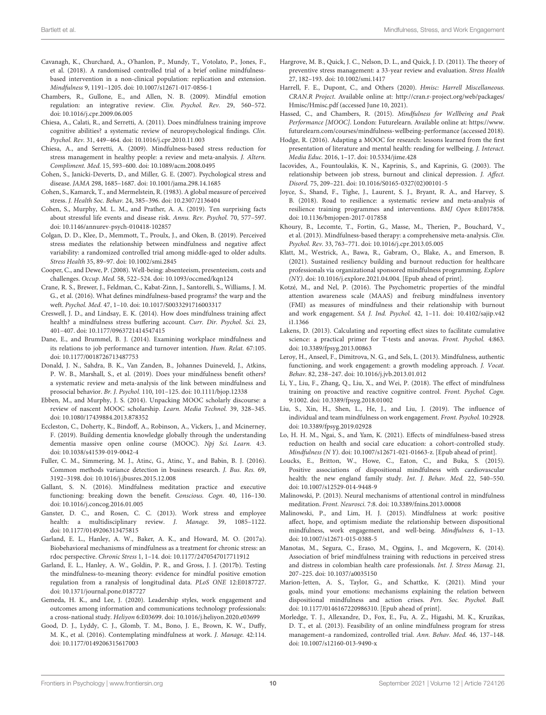- <span id="page-9-32"></span>Cavanagh, K., Churchard, A., O'hanlon, P., Mundy, T., Votolato, P., Jones, F., et al. (2018). A randomised controlled trial of a brief online mindfulnessbased intervention in a non-clinical population: replication and extension. Mindfulness 9, 1191–1205. doi: [10.1007/s12671-017-0856-1](https://doi.org/10.1007/s12671-017-0856-1)
- <span id="page-9-0"></span>Chambers, R., Gullone, E., and Allen, N. B. (2009). Mindful emotion regulation: an integrative review. Clin. Psychol. Rev. 29, 560–572. doi: [10.1016/j.cpr.2009.06.005](https://doi.org/10.1016/j.cpr.2009.06.005)
- <span id="page-9-10"></span>Chiesa, A., Calati, R., and Serretti, A. (2011). Does mindfulness training improve cognitive abilities? a systematic review of neuropsychological findings. Clin. Psychol. Rev. 31, 449–464. doi: [10.1016/j.cpr.2010.11.003](https://doi.org/10.1016/j.cpr.2010.11.003)
- <span id="page-9-34"></span>Chiesa, A., and Serretti, A. (2009). Mindfulness-based stress reduction for stress management in healthy people: a review and meta-analysis. J. Altern. Compliment. Med. 15, 593–600. doi: [10.1089/acm.2008.0495](https://doi.org/10.1089/acm.2008.0495)
- <span id="page-9-19"></span>Cohen, S., Janicki-Deverts, D., and Miller, G. E. (2007). Psychological stress and disease. JAMA 298, 1685–1687. doi: [10.1001/jama.298.14.1685](https://doi.org/10.1001/jama.298.14.1685)
- <span id="page-9-18"></span>Cohen, S., Kamarck, T., and Mermelstein, R. (1983). A global measure of perceived stress. J. Health Soc. Behav. 24, 385–396. doi: [10.2307/2136404](https://doi.org/10.2307/2136404)
- <span id="page-9-6"></span>Cohen, S., Murphy, M. L. M., and Prather, A. A. (2019). Ten surprising facts about stressful life events and disease risk. Annu. Rev. Psychol. 70, 577–597. doi: [10.1146/annurev-psych-010418-102857](https://doi.org/10.1146/annurev-psych-010418-102857)
- <span id="page-9-5"></span>Colgan, D. D., Klee, D., Memmott, T., Proulx, J., and Oken, B. (2019). Perceived stress mediates the relationship between mindfulness and negative affect variability: a randomized controlled trial among middle-aged to older adults. Stress Health 35, 89–97. doi: [10.1002/smi.2845](https://doi.org/10.1002/smi.2845)
- <span id="page-9-30"></span>Cooper, C., and Dewe, P. (2008). Well-being: absenteeism, presenteeism, costs and challenges. Occup. Med. 58, 522–524. doi: [10.1093/occmed/kqn124](https://doi.org/10.1093/occmed/kqn124)
- <span id="page-9-3"></span>Crane, R. S., Brewer, J., Feldman, C., Kabat-Zinn, J., Santorelli, S., Williams, J. M. G., et al. (2016). What defines mindfulness-based programs? the warp and the weft. Psychol. Med. 47, 1–10. doi: [10.1017/S0033291716003317](https://doi.org/10.1017/S0033291716003317)
- <span id="page-9-1"></span>Creswell, J. D., and Lindsay, E. K. (2014). How does mindfulness training affect health? a mindfulness stress buffering account. Curr. Dir. Psychol. Sci. 23, 401–407. doi: [10.1177/0963721414547415](https://doi.org/10.1177/0963721414547415)
- <span id="page-9-11"></span>Dane, E., and Brummel, B. J. (2014). Examining workplace mindfulness and its relations to job performance and turnover intention. Hum. Relat. 67:105. doi: [10.1177/0018726713487753](https://doi.org/10.1177/0018726713487753)
- <span id="page-9-8"></span>Donald, J. N., Sahdra, B. K., Van Zanden, B., Johannes Duineveld, J., Atkins, P. W. B., Marshall, S., et al. (2019). Does your mindfulness benefit others? a systematic review and meta-analysis of the link between mindfulness and prosocial behavior. Br. J. Psychol. 110, 101–125. doi: [10.1111/bjop.12338](https://doi.org/10.1111/bjop.12338)
- <span id="page-9-15"></span>Ebben, M., and Murphy, J. S. (2014). Unpacking MOOC scholarly discourse: a review of nascent MOOC scholarship. Learn. Media Technol. 39, 328–345. doi: [10.1080/17439884.2013.878352](https://doi.org/10.1080/17439884.2013.878352)
- <span id="page-9-16"></span>Eccleston, C., Doherty, K., Bindoff, A., Robinson, A., Vickers, J., and Mcinerney, F. (2019). Building dementia knowledge globally through the understanding dementia massive open online course (MOOC). Npj Sci. Learn. 4:3. doi: [10.1038/s41539-019-0042-4](https://doi.org/10.1038/s41539-019-0042-4)
- <span id="page-9-22"></span>Fuller, C. M., Simmering, M. J., Atinc, G., Atinc, Y., and Babin, B. J. (2016). Common methods variance detection in business research. J. Bus. Res. 69, 3192–3198. doi: [10.1016/j.jbusres.2015.12.008](https://doi.org/10.1016/j.jbusres.2015.12.008)
- <span id="page-9-7"></span>Gallant, S. N. (2016). Mindfulness meditation practice and executive functioning: breaking down the benefit. Conscious. Cogn. 40, 116–130. doi: [10.1016/j.concog.2016.01.005](https://doi.org/10.1016/j.concog.2016.01.005)
- <span id="page-9-28"></span>Ganster, D. C., and Rosen, C. C. (2013). Work stress and employee health: a multidisciplinary review. J. Manage. 39, 1085–1122. doi: [10.1177/0149206313475815](https://doi.org/10.1177/0149206313475815)
- <span id="page-9-2"></span>Garland, E. L., Hanley, A. W., Baker, A. K., and Howard, M. O. (2017a). Biobehavioral mechanisms of mindfulness as a treatment for chronic stress: an rdoc perspective. Chronic Stress 1, 1–14. doi: [10.1177/2470547017711912](https://doi.org/10.1177/2470547017711912)
- <span id="page-9-36"></span>Garland, E. L., Hanley, A. W., Goldin, P. R., and Gross, J. J. (2017b). Testing the mindfulness-to-meaning theory: evidence for mindful positive emotion regulation from a ranalysis of longitudinal data. PLoS ONE 12:E0187727. doi: [10.1371/journal.pone.0187727](https://doi.org/10.1371/journal.pone.0187727)
- <span id="page-9-13"></span>Gemeda, H. K., and Lee, J. (2020). Leadership styles, work engagement and outcomes among information and communications technology professionals: a cross-national study. Heliyon 6:E03699. doi: [10.1016/j.heliyon.2020.e03699](https://doi.org/10.1016/j.heliyon.2020.e03699)
- <span id="page-9-12"></span>Good, D. J., Lyddy, C. J., Glomb, T. M., Bono, J. E., Brown, K. W., Duffy, M. K., et al. (2016). Contemplating mindfulness at work. J. Manage. 42:114. doi: [10.1177/0149206315617003](https://doi.org/10.1177/0149206315617003)
- <span id="page-9-27"></span>Hargrove, M. B., Quick, J. C., Nelson, D. L., and Quick, J. D. (2011). The theory of preventive stress management: a 33-year review and evaluation. Stress Health 27, 182–193. doi: [10.1002/smi.1417](https://doi.org/10.1002/smi.1417)
- <span id="page-9-23"></span>Harrell, F. E., Dupont, C., and Others (2020). Hmisc: Harrell Miscellaneous. CRAN.R Project. Available online at: [http://cran.r-project.org/web/packages/](http://cran.r-project.org/web/packages/Hmisc/Hmisc.pdf) [Hmisc/Hmisc.pdf](http://cran.r-project.org/web/packages/Hmisc/Hmisc.pdf) (accessed June 10, 2021).
- <span id="page-9-17"></span>Hassed, C., and Chambers, R. (2015). Mindfulness for Wellbeing and Peak Performance [MOOC]. London: Futurelearn. Available online at: [https://www.](https://www.futurelearn.com/courses/mindfulness-wellbeing-performance) [futurelearn.com/courses/mindfulness-wellbeing-performance](https://www.futurelearn.com/courses/mindfulness-wellbeing-performance) (accessed 2018).
- <span id="page-9-33"></span>Hodge, R. (2016). Adapting a MOOC for research: lessons learned from the first presentation of literature and mental health: reading for wellbeing. J. Interact. Media Educ. 2016, 1–17. doi: [10.5334/jime.428](https://doi.org/10.5334/jime.428)
- <span id="page-9-29"></span>Iacovides, A., Fountoulakis, K. N., Kaprinis, S., and Kaprinis, G. (2003). The relationship between job stress, burnout and clinical depression. J. Affect. Disord. 75, 209–221. doi: [10.1016/S0165-0327\(02\)00101-5](https://doi.org/10.1016/S0165-0327(02)00101-5)
- <span id="page-9-9"></span>Joyce, S., Shand, F., Tighe, J., Laurent, S. J., Bryant, R. A., and Harvey, S. B. (2018). Road to resilience: a systematic review and meta-analysis of resilience training programmes and interventions. BMJ Open 8:E017858. doi: [10.1136/bmjopen-2017-017858](https://doi.org/10.1136/bmjopen-2017-017858)
- <span id="page-9-35"></span>Khoury, B., Lecomte, T., Fortin, G., Masse, M., Therien, P., Bouchard, V., et al. (2013). Mindfulness-based therapy: a comprehensive meta-analysis. Clin. Psychol. Rev. 33, 763–771. doi: [10.1016/j.cpr.2013.05.005](https://doi.org/10.1016/j.cpr.2013.05.005)
- <span id="page-9-39"></span>Klatt, M., Westrick, A., Bawa, R., Gabram, O., Blake, A., and Emerson, B. (2021). Sustained resiliency building and burnout reduction for healthcare professionals via organizational sponsored mindfulness programming. Explore (NY). doi: [10.1016/j.explore.2021.04.004.](https://doi.org/10.1016/j.explore.2021.04.004) [Epub ahead of print].
- <span id="page-9-24"></span>Kotzé, M., and Nel, P. (2016). The Psychometric properties of the mindful attention awareness scale (MAAS) and freiburg mindfulness inventory (FMI) as measures of mindfulness and their relationship with burnout and work engagement. SA J. Ind. Psychol. [42, 1–11. doi: 10.4102/sajip.v42](https://doi.org/10.4102/sajip.v42i1.1366) i1.1366
- <span id="page-9-21"></span>Lakens, D. (2013). Calculating and reporting effect sizes to facilitate cumulative science: a practical primer for T-tests and anovas. Front. Psychol. 4:863. doi: [10.3389/fpsyg.2013.00863](https://doi.org/10.3389/fpsyg.2013.00863)
- <span id="page-9-26"></span>Leroy, H., Anseel, F., Dimitrova, N. G., and Sels, L. (2013). Mindfulness, authentic functioning, and work engagement: a growth modeling approach. J. Vocat. Behav. 82, 238–247. doi: [10.1016/j.jvb.2013.01.012](https://doi.org/10.1016/j.jvb.2013.01.012)
- <span id="page-9-38"></span>Li, Y., Liu, F., Zhang, Q., Liu, X., and Wei, P. (2018). The effect of mindfulness training on proactive and reactive cognitive control. Front. Psychol. Cogn. 9:1002. doi: [10.3389/fpsyg.2018.01002](https://doi.org/10.3389/fpsyg.2018.01002)
- <span id="page-9-14"></span>Liu, S., Xin, H., Shen, L., He, J., and Liu, J. (2019). The influence of individual and team mindfulness on work engagement. Front. Psychol. 10:2928. doi: [10.3389/fpsyg.2019.02928](https://doi.org/10.3389/fpsyg.2019.02928)
- <span id="page-9-40"></span>Lo, H. H. M., Ngai, S., and Yam, K. (2021). Effects of mindfulness-based stress reduction on health and social care education: a cohort-controlled study. Mindfulness (N Y). doi: [10.1007/s12671-021-01663-z.](https://doi.org/10.1007/s12671-021-01663-z) [Epub ahead of print].
- <span id="page-9-4"></span>Loucks, E., Britton, W., Howe, C., Eaton, C., and Buka, S. (2015). Positive associations of dispositional mindfulness with cardiovascular health: the new england family study. Int. J. Behav. Med. 22, 540–550. doi: [10.1007/s12529-014-9448-9](https://doi.org/10.1007/s12529-014-9448-9)
- <span id="page-9-37"></span>Malinowski, P. (2013). Neural mechanisms of attentional control in mindfulness meditation. Front. Neurosci. 7:8. doi: [10.3389/fnins.2013.00008](https://doi.org/10.3389/fnins.2013.00008)
- <span id="page-9-25"></span>Malinowski, P., and Lim, H. J. (2015). Mindfulness at work: positive affect, hope, and optimism mediate the relationship between dispositional mindfulness, work engagement, and well-being. Mindfulness 6, 1–13. doi: [10.1007/s12671-015-0388-5](https://doi.org/10.1007/s12671-015-0388-5)
- <span id="page-9-20"></span>Manotas, M., Segura, C., Eraso, M., Oggins, J., and Mcgovern, K. (2014). Association of brief mindfulness training with reductions in perceived stress and distress in colombian health care professionals. Int. J. Stress Manag. 21, 207–225. doi: [10.1037/a0035150](https://doi.org/10.1037/a0035150)
- <span id="page-9-41"></span>Marion-Jetten, A. S., Taylor, G., and Schattke, K. (2021). Mind your goals, mind your emotions: mechanisms explaining the relation between dispositional mindfulness and action crises. Pers. Soc. Psychol. Bull. doi: [10.1177/0146167220986310.](https://doi.org/10.1177/0146167220986310) [Epub ahead of print].
- <span id="page-9-31"></span>Morledge, T. J., Allexandre, D., Fox, E., Fu, A. Z., Higashi, M. K., Kruzikas, D. T., et al. (2013). Feasibility of an online mindfulness program for stress management–a randomized, controlled trial. Ann. Behav. Med. 46, 137–148. doi: [10.1007/s12160-013-9490-x](https://doi.org/10.1007/s12160-013-9490-x)